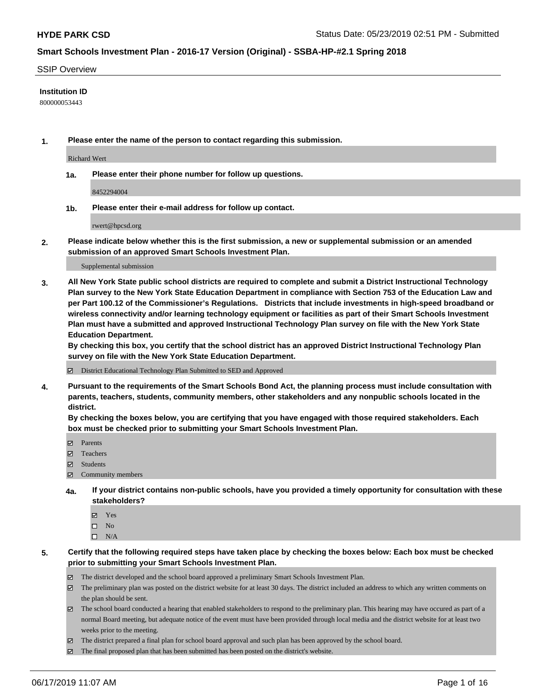#### SSIP Overview

### **Institution ID**

800000053443

**1. Please enter the name of the person to contact regarding this submission.**

Richard Wert

**1a. Please enter their phone number for follow up questions.**

8452294004

**1b. Please enter their e-mail address for follow up contact.**

rwert@hpcsd.org

**2. Please indicate below whether this is the first submission, a new or supplemental submission or an amended submission of an approved Smart Schools Investment Plan.**

#### Supplemental submission

**3. All New York State public school districts are required to complete and submit a District Instructional Technology Plan survey to the New York State Education Department in compliance with Section 753 of the Education Law and per Part 100.12 of the Commissioner's Regulations. Districts that include investments in high-speed broadband or wireless connectivity and/or learning technology equipment or facilities as part of their Smart Schools Investment Plan must have a submitted and approved Instructional Technology Plan survey on file with the New York State Education Department.** 

**By checking this box, you certify that the school district has an approved District Instructional Technology Plan survey on file with the New York State Education Department.**

District Educational Technology Plan Submitted to SED and Approved

**4. Pursuant to the requirements of the Smart Schools Bond Act, the planning process must include consultation with parents, teachers, students, community members, other stakeholders and any nonpublic schools located in the district.** 

**By checking the boxes below, you are certifying that you have engaged with those required stakeholders. Each box must be checked prior to submitting your Smart Schools Investment Plan.**

- Parents
- Teachers
- Students
- Community members
- **4a. If your district contains non-public schools, have you provided a timely opportunity for consultation with these stakeholders?**
	- Yes
	- $\square$  No
	- $\square$  N/A
- **5. Certify that the following required steps have taken place by checking the boxes below: Each box must be checked prior to submitting your Smart Schools Investment Plan.**
	- The district developed and the school board approved a preliminary Smart Schools Investment Plan.
	- $\boxtimes$  The preliminary plan was posted on the district website for at least 30 days. The district included an address to which any written comments on the plan should be sent.
	- $\boxtimes$  The school board conducted a hearing that enabled stakeholders to respond to the preliminary plan. This hearing may have occured as part of a normal Board meeting, but adequate notice of the event must have been provided through local media and the district website for at least two weeks prior to the meeting.
	- The district prepared a final plan for school board approval and such plan has been approved by the school board.
	- $\boxtimes$  The final proposed plan that has been submitted has been posted on the district's website.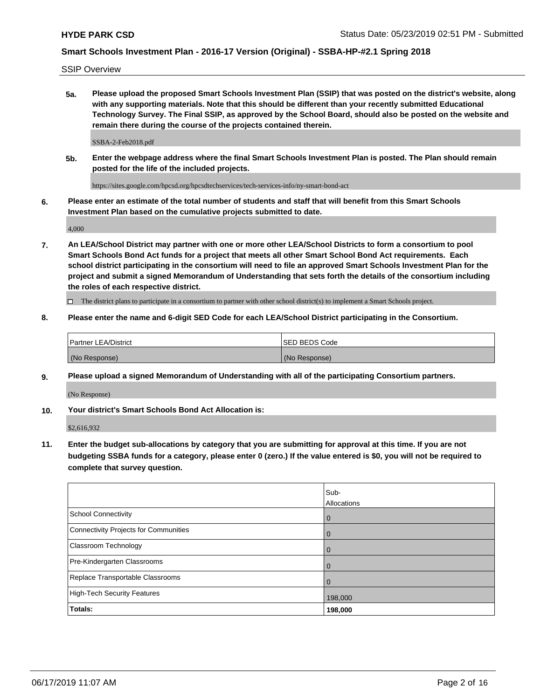SSIP Overview

**5a. Please upload the proposed Smart Schools Investment Plan (SSIP) that was posted on the district's website, along with any supporting materials. Note that this should be different than your recently submitted Educational Technology Survey. The Final SSIP, as approved by the School Board, should also be posted on the website and remain there during the course of the projects contained therein.**

SSBA-2-Feb2018.pdf

**5b. Enter the webpage address where the final Smart Schools Investment Plan is posted. The Plan should remain posted for the life of the included projects.**

https://sites.google.com/hpcsd.org/hpcsdtechservices/tech-services-info/ny-smart-bond-act

**6. Please enter an estimate of the total number of students and staff that will benefit from this Smart Schools Investment Plan based on the cumulative projects submitted to date.**

4,000

**7. An LEA/School District may partner with one or more other LEA/School Districts to form a consortium to pool Smart Schools Bond Act funds for a project that meets all other Smart School Bond Act requirements. Each school district participating in the consortium will need to file an approved Smart Schools Investment Plan for the project and submit a signed Memorandum of Understanding that sets forth the details of the consortium including the roles of each respective district.**

 $\Box$  The district plans to participate in a consortium to partner with other school district(s) to implement a Smart Schools project.

### **8. Please enter the name and 6-digit SED Code for each LEA/School District participating in the Consortium.**

| Partner LEA/District | <b>ISED BEDS Code</b> |
|----------------------|-----------------------|
| (No Response)        | (No Response)         |

#### **9. Please upload a signed Memorandum of Understanding with all of the participating Consortium partners.**

(No Response)

**10. Your district's Smart Schools Bond Act Allocation is:**

\$2,616,932

**11. Enter the budget sub-allocations by category that you are submitting for approval at this time. If you are not budgeting SSBA funds for a category, please enter 0 (zero.) If the value entered is \$0, you will not be required to complete that survey question.**

|                                       | Sub-<br>Allocations |
|---------------------------------------|---------------------|
| School Connectivity                   | $\overline{0}$      |
| Connectivity Projects for Communities | $\overline{0}$      |
| <b>Classroom Technology</b>           | $\overline{0}$      |
| Pre-Kindergarten Classrooms           | 0                   |
| Replace Transportable Classrooms      |                     |
| High-Tech Security Features           | 198,000             |
| Totals:                               | 198,000             |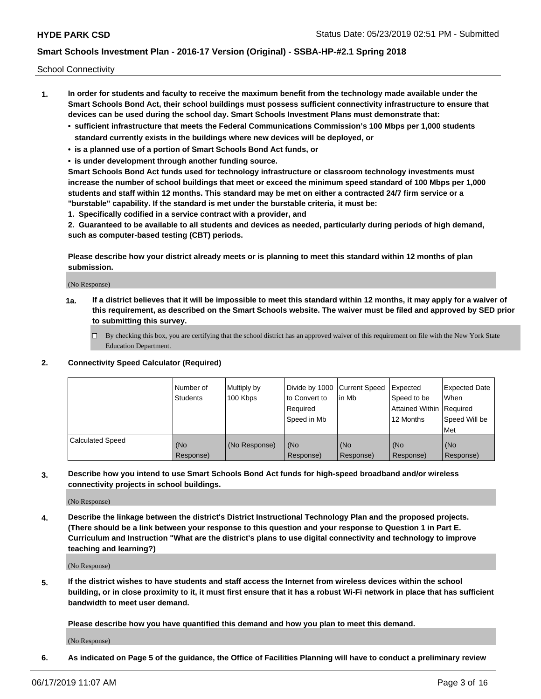School Connectivity

- **1. In order for students and faculty to receive the maximum benefit from the technology made available under the Smart Schools Bond Act, their school buildings must possess sufficient connectivity infrastructure to ensure that devices can be used during the school day. Smart Schools Investment Plans must demonstrate that:**
	- **• sufficient infrastructure that meets the Federal Communications Commission's 100 Mbps per 1,000 students standard currently exists in the buildings where new devices will be deployed, or**
	- **• is a planned use of a portion of Smart Schools Bond Act funds, or**
	- **• is under development through another funding source.**

**Smart Schools Bond Act funds used for technology infrastructure or classroom technology investments must increase the number of school buildings that meet or exceed the minimum speed standard of 100 Mbps per 1,000 students and staff within 12 months. This standard may be met on either a contracted 24/7 firm service or a "burstable" capability. If the standard is met under the burstable criteria, it must be:**

**1. Specifically codified in a service contract with a provider, and**

**2. Guaranteed to be available to all students and devices as needed, particularly during periods of high demand, such as computer-based testing (CBT) periods.**

**Please describe how your district already meets or is planning to meet this standard within 12 months of plan submission.**

(No Response)

**1a. If a district believes that it will be impossible to meet this standard within 12 months, it may apply for a waiver of this requirement, as described on the Smart Schools website. The waiver must be filed and approved by SED prior to submitting this survey.**

 $\Box$  By checking this box, you are certifying that the school district has an approved waiver of this requirement on file with the New York State Education Department.

#### **2. Connectivity Speed Calculator (Required)**

|                         | l Number of<br>Students | Multiply by<br>100 Kbps | Divide by 1000 Current Speed<br>to Convert to<br>Required<br>l Speed in Mb | lin Mb           | Expected<br>Speed to be<br>Attained Within   Required<br>12 Months | <b>Expected Date</b><br>When<br>Speed Will be<br>Met |
|-------------------------|-------------------------|-------------------------|----------------------------------------------------------------------------|------------------|--------------------------------------------------------------------|------------------------------------------------------|
| <b>Calculated Speed</b> | (No<br>Response)        | (No Response)           | (No<br>Response)                                                           | (No<br>Response) | (No<br>Response)                                                   | (No<br>Response)                                     |

**3. Describe how you intend to use Smart Schools Bond Act funds for high-speed broadband and/or wireless connectivity projects in school buildings.**

(No Response)

**4. Describe the linkage between the district's District Instructional Technology Plan and the proposed projects. (There should be a link between your response to this question and your response to Question 1 in Part E. Curriculum and Instruction "What are the district's plans to use digital connectivity and technology to improve teaching and learning?)**

(No Response)

**5. If the district wishes to have students and staff access the Internet from wireless devices within the school building, or in close proximity to it, it must first ensure that it has a robust Wi-Fi network in place that has sufficient bandwidth to meet user demand.**

**Please describe how you have quantified this demand and how you plan to meet this demand.**

(No Response)

**6. As indicated on Page 5 of the guidance, the Office of Facilities Planning will have to conduct a preliminary review**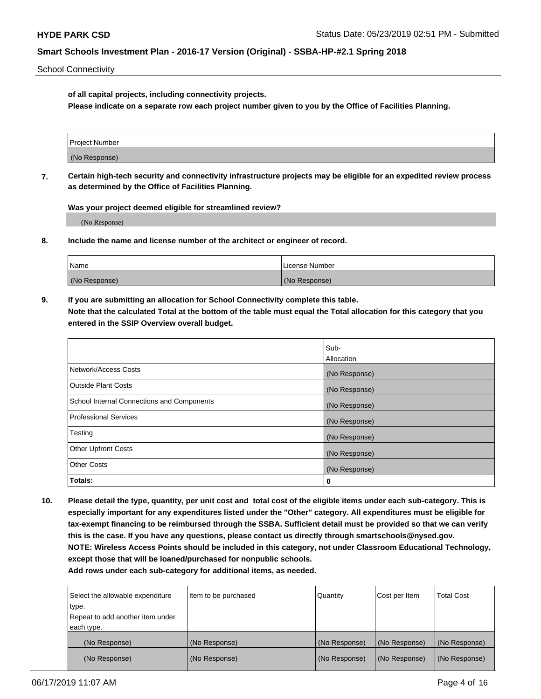School Connectivity

**of all capital projects, including connectivity projects.**

**Please indicate on a separate row each project number given to you by the Office of Facilities Planning.**

| Project Number |  |
|----------------|--|
|                |  |
|                |  |
| (No Response)  |  |
|                |  |

**7. Certain high-tech security and connectivity infrastructure projects may be eligible for an expedited review process as determined by the Office of Facilities Planning.**

**Was your project deemed eligible for streamlined review?**

(No Response)

**8. Include the name and license number of the architect or engineer of record.**

| Name          | License Number |
|---------------|----------------|
| (No Response) | (No Response)  |

**9. If you are submitting an allocation for School Connectivity complete this table. Note that the calculated Total at the bottom of the table must equal the Total allocation for this category that you entered in the SSIP Overview overall budget.** 

|                                            | Sub-          |
|--------------------------------------------|---------------|
|                                            | Allocation    |
| Network/Access Costs                       | (No Response) |
| <b>Outside Plant Costs</b>                 | (No Response) |
| School Internal Connections and Components | (No Response) |
| <b>Professional Services</b>               | (No Response) |
| Testing                                    | (No Response) |
| <b>Other Upfront Costs</b>                 | (No Response) |
| <b>Other Costs</b>                         | (No Response) |
| Totals:                                    | 0             |

**10. Please detail the type, quantity, per unit cost and total cost of the eligible items under each sub-category. This is especially important for any expenditures listed under the "Other" category. All expenditures must be eligible for tax-exempt financing to be reimbursed through the SSBA. Sufficient detail must be provided so that we can verify this is the case. If you have any questions, please contact us directly through smartschools@nysed.gov. NOTE: Wireless Access Points should be included in this category, not under Classroom Educational Technology, except those that will be loaned/purchased for nonpublic schools.**

| Select the allowable expenditure | Item to be purchased | Quantity      | Cost per Item | <b>Total Cost</b> |
|----------------------------------|----------------------|---------------|---------------|-------------------|
| type.                            |                      |               |               |                   |
| Repeat to add another item under |                      |               |               |                   |
| each type.                       |                      |               |               |                   |
| (No Response)                    | (No Response)        | (No Response) | (No Response) | (No Response)     |
| (No Response)                    | (No Response)        | (No Response) | (No Response) | (No Response)     |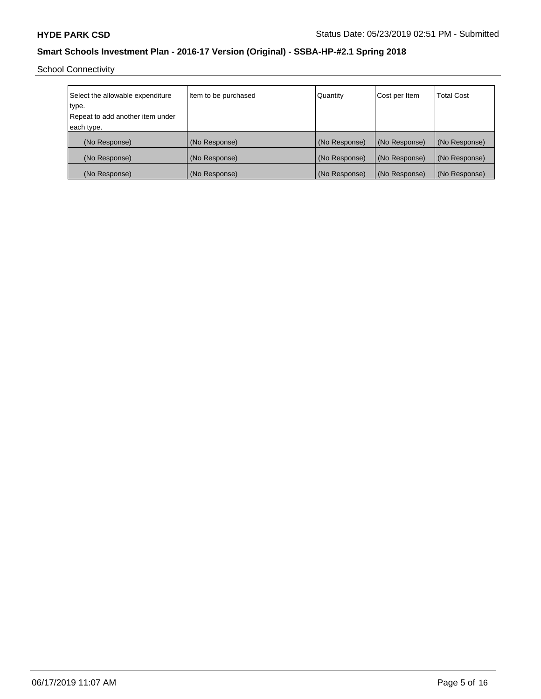School Connectivity

| Select the allowable expenditure | Item to be purchased | Quantity      | Cost per Item | <b>Total Cost</b> |
|----------------------------------|----------------------|---------------|---------------|-------------------|
| type.                            |                      |               |               |                   |
| Repeat to add another item under |                      |               |               |                   |
| each type.                       |                      |               |               |                   |
| (No Response)                    | (No Response)        | (No Response) | (No Response) | (No Response)     |
| (No Response)                    | (No Response)        | (No Response) | (No Response) | (No Response)     |
| (No Response)                    | (No Response)        | (No Response) | (No Response) | (No Response)     |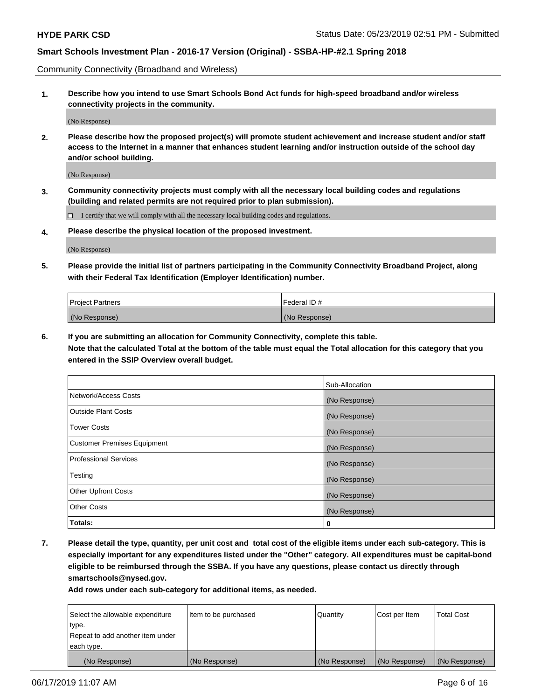Community Connectivity (Broadband and Wireless)

**1. Describe how you intend to use Smart Schools Bond Act funds for high-speed broadband and/or wireless connectivity projects in the community.**

(No Response)

**2. Please describe how the proposed project(s) will promote student achievement and increase student and/or staff access to the Internet in a manner that enhances student learning and/or instruction outside of the school day and/or school building.**

(No Response)

**3. Community connectivity projects must comply with all the necessary local building codes and regulations (building and related permits are not required prior to plan submission).**

 $\Box$  I certify that we will comply with all the necessary local building codes and regulations.

**4. Please describe the physical location of the proposed investment.**

(No Response)

**5. Please provide the initial list of partners participating in the Community Connectivity Broadband Project, along with their Federal Tax Identification (Employer Identification) number.**

| <b>Project Partners</b> | l Federal ID # |
|-------------------------|----------------|
| (No Response)           | (No Response)  |

**6. If you are submitting an allocation for Community Connectivity, complete this table.**

**Note that the calculated Total at the bottom of the table must equal the Total allocation for this category that you entered in the SSIP Overview overall budget.**

|                                    | Sub-Allocation |
|------------------------------------|----------------|
| Network/Access Costs               | (No Response)  |
| <b>Outside Plant Costs</b>         | (No Response)  |
| <b>Tower Costs</b>                 | (No Response)  |
| <b>Customer Premises Equipment</b> | (No Response)  |
| <b>Professional Services</b>       | (No Response)  |
| Testing                            | (No Response)  |
| <b>Other Upfront Costs</b>         | (No Response)  |
| <b>Other Costs</b>                 | (No Response)  |
| Totals:                            | 0              |

**7. Please detail the type, quantity, per unit cost and total cost of the eligible items under each sub-category. This is especially important for any expenditures listed under the "Other" category. All expenditures must be capital-bond eligible to be reimbursed through the SSBA. If you have any questions, please contact us directly through smartschools@nysed.gov.**

| Select the allowable expenditure | Item to be purchased | Quantity      | Cost per Item | <b>Total Cost</b> |
|----------------------------------|----------------------|---------------|---------------|-------------------|
| type.                            |                      |               |               |                   |
| Repeat to add another item under |                      |               |               |                   |
| each type.                       |                      |               |               |                   |
| (No Response)                    | (No Response)        | (No Response) | (No Response) | (No Response)     |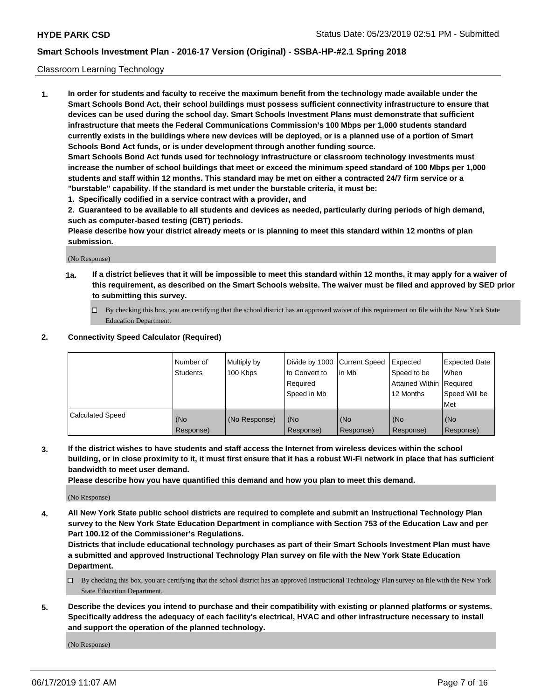### Classroom Learning Technology

**1. In order for students and faculty to receive the maximum benefit from the technology made available under the Smart Schools Bond Act, their school buildings must possess sufficient connectivity infrastructure to ensure that devices can be used during the school day. Smart Schools Investment Plans must demonstrate that sufficient infrastructure that meets the Federal Communications Commission's 100 Mbps per 1,000 students standard currently exists in the buildings where new devices will be deployed, or is a planned use of a portion of Smart Schools Bond Act funds, or is under development through another funding source. Smart Schools Bond Act funds used for technology infrastructure or classroom technology investments must increase the number of school buildings that meet or exceed the minimum speed standard of 100 Mbps per 1,000 students and staff within 12 months. This standard may be met on either a contracted 24/7 firm service or a**

**"burstable" capability. If the standard is met under the burstable criteria, it must be:**

**1. Specifically codified in a service contract with a provider, and**

**2. Guaranteed to be available to all students and devices as needed, particularly during periods of high demand, such as computer-based testing (CBT) periods.**

**Please describe how your district already meets or is planning to meet this standard within 12 months of plan submission.**

(No Response)

- **1a. If a district believes that it will be impossible to meet this standard within 12 months, it may apply for a waiver of this requirement, as described on the Smart Schools website. The waiver must be filed and approved by SED prior to submitting this survey.**
	- By checking this box, you are certifying that the school district has an approved waiver of this requirement on file with the New York State Education Department.

### **2. Connectivity Speed Calculator (Required)**

|                         | l Number of<br>Students | Multiply by<br>100 Kbps | to Convert to<br>Required<br>Speed in Mb | Divide by 1000 Current Speed Expected<br>lin Mb | Speed to be<br>Attained Within Required<br>12 Months | Expected Date<br>When<br>Speed Will be<br>Met |
|-------------------------|-------------------------|-------------------------|------------------------------------------|-------------------------------------------------|------------------------------------------------------|-----------------------------------------------|
| <b>Calculated Speed</b> | (No<br>Response)        | (No Response)           | (No<br>Response)                         | (No<br>Response)                                | (No<br>Response)                                     | (No<br>Response)                              |

**3. If the district wishes to have students and staff access the Internet from wireless devices within the school building, or in close proximity to it, it must first ensure that it has a robust Wi-Fi network in place that has sufficient bandwidth to meet user demand.**

**Please describe how you have quantified this demand and how you plan to meet this demand.**

(No Response)

**4. All New York State public school districts are required to complete and submit an Instructional Technology Plan survey to the New York State Education Department in compliance with Section 753 of the Education Law and per Part 100.12 of the Commissioner's Regulations.**

**Districts that include educational technology purchases as part of their Smart Schools Investment Plan must have a submitted and approved Instructional Technology Plan survey on file with the New York State Education Department.**

- $\Box$  By checking this box, you are certifying that the school district has an approved Instructional Technology Plan survey on file with the New York State Education Department.
- **5. Describe the devices you intend to purchase and their compatibility with existing or planned platforms or systems. Specifically address the adequacy of each facility's electrical, HVAC and other infrastructure necessary to install and support the operation of the planned technology.**

(No Response)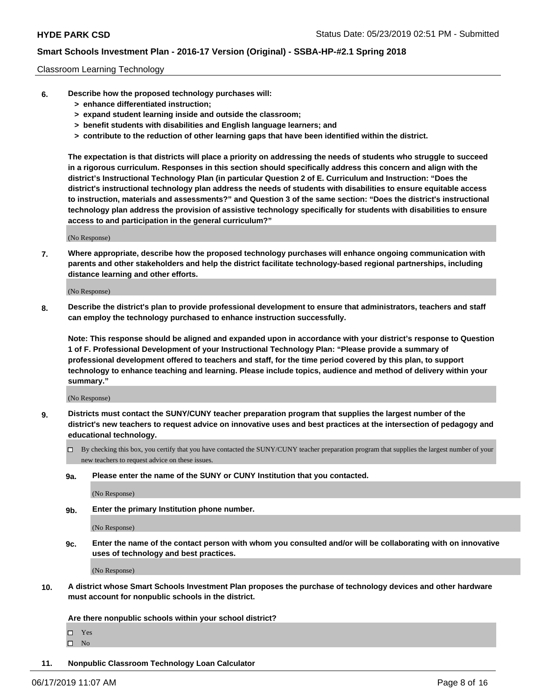### Classroom Learning Technology

- **6. Describe how the proposed technology purchases will:**
	- **> enhance differentiated instruction;**
	- **> expand student learning inside and outside the classroom;**
	- **> benefit students with disabilities and English language learners; and**
	- **> contribute to the reduction of other learning gaps that have been identified within the district.**

**The expectation is that districts will place a priority on addressing the needs of students who struggle to succeed in a rigorous curriculum. Responses in this section should specifically address this concern and align with the district's Instructional Technology Plan (in particular Question 2 of E. Curriculum and Instruction: "Does the district's instructional technology plan address the needs of students with disabilities to ensure equitable access to instruction, materials and assessments?" and Question 3 of the same section: "Does the district's instructional technology plan address the provision of assistive technology specifically for students with disabilities to ensure access to and participation in the general curriculum?"**

(No Response)

**7. Where appropriate, describe how the proposed technology purchases will enhance ongoing communication with parents and other stakeholders and help the district facilitate technology-based regional partnerships, including distance learning and other efforts.**

(No Response)

**8. Describe the district's plan to provide professional development to ensure that administrators, teachers and staff can employ the technology purchased to enhance instruction successfully.**

**Note: This response should be aligned and expanded upon in accordance with your district's response to Question 1 of F. Professional Development of your Instructional Technology Plan: "Please provide a summary of professional development offered to teachers and staff, for the time period covered by this plan, to support technology to enhance teaching and learning. Please include topics, audience and method of delivery within your summary."**

(No Response)

- **9. Districts must contact the SUNY/CUNY teacher preparation program that supplies the largest number of the district's new teachers to request advice on innovative uses and best practices at the intersection of pedagogy and educational technology.**
	- By checking this box, you certify that you have contacted the SUNY/CUNY teacher preparation program that supplies the largest number of your new teachers to request advice on these issues.
	- **9a. Please enter the name of the SUNY or CUNY Institution that you contacted.**

(No Response)

**9b. Enter the primary Institution phone number.**

(No Response)

**9c. Enter the name of the contact person with whom you consulted and/or will be collaborating with on innovative uses of technology and best practices.**

(No Response)

**10. A district whose Smart Schools Investment Plan proposes the purchase of technology devices and other hardware must account for nonpublic schools in the district.**

**Are there nonpublic schools within your school district?**

Yes

 $\square$  No

**11. Nonpublic Classroom Technology Loan Calculator**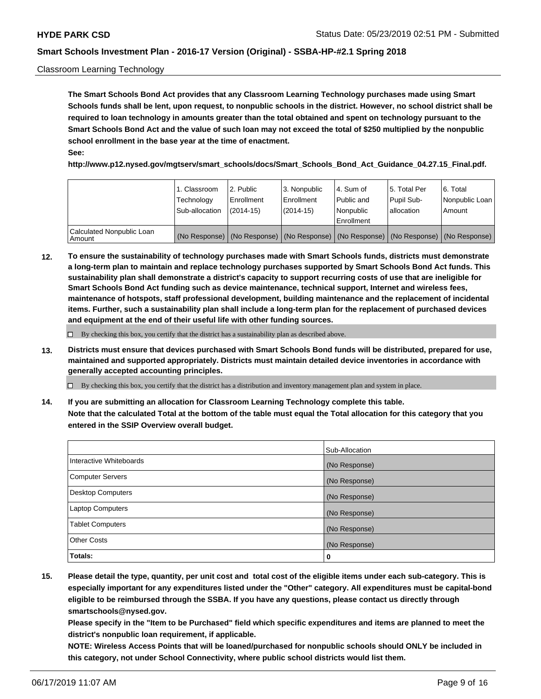### Classroom Learning Technology

**The Smart Schools Bond Act provides that any Classroom Learning Technology purchases made using Smart Schools funds shall be lent, upon request, to nonpublic schools in the district. However, no school district shall be required to loan technology in amounts greater than the total obtained and spent on technology pursuant to the Smart Schools Bond Act and the value of such loan may not exceed the total of \$250 multiplied by the nonpublic school enrollment in the base year at the time of enactment. See:**

**http://www.p12.nysed.gov/mgtserv/smart\_schools/docs/Smart\_Schools\_Bond\_Act\_Guidance\_04.27.15\_Final.pdf.**

|                                       | 1. Classroom<br>Technology<br>Sub-allocation | l 2. Public<br>Enrollment<br>$(2014-15)$ | 3. Nonpublic<br>l Enrollment<br>$(2014-15)$ | l 4. Sum of<br>Public and<br>Nonpublic<br>Enrollment                                          | l 5. Total Per<br>Pupil Sub-<br>l allocation | l 6. Total<br>Nonpublic Loan<br>Amount |
|---------------------------------------|----------------------------------------------|------------------------------------------|---------------------------------------------|-----------------------------------------------------------------------------------------------|----------------------------------------------|----------------------------------------|
| Calculated Nonpublic Loan<br>l Amount |                                              |                                          |                                             | (No Response)   (No Response)   (No Response)   (No Response)   (No Response)   (No Response) |                                              |                                        |

**12. To ensure the sustainability of technology purchases made with Smart Schools funds, districts must demonstrate a long-term plan to maintain and replace technology purchases supported by Smart Schools Bond Act funds. This sustainability plan shall demonstrate a district's capacity to support recurring costs of use that are ineligible for Smart Schools Bond Act funding such as device maintenance, technical support, Internet and wireless fees, maintenance of hotspots, staff professional development, building maintenance and the replacement of incidental items. Further, such a sustainability plan shall include a long-term plan for the replacement of purchased devices and equipment at the end of their useful life with other funding sources.**

 $\Box$  By checking this box, you certify that the district has a sustainability plan as described above.

**13. Districts must ensure that devices purchased with Smart Schools Bond funds will be distributed, prepared for use, maintained and supported appropriately. Districts must maintain detailed device inventories in accordance with generally accepted accounting principles.**

By checking this box, you certify that the district has a distribution and inventory management plan and system in place.

**14. If you are submitting an allocation for Classroom Learning Technology complete this table. Note that the calculated Total at the bottom of the table must equal the Total allocation for this category that you entered in the SSIP Overview overall budget.**

|                          | Sub-Allocation |
|--------------------------|----------------|
| Interactive Whiteboards  | (No Response)  |
| <b>Computer Servers</b>  | (No Response)  |
| <b>Desktop Computers</b> | (No Response)  |
| <b>Laptop Computers</b>  | (No Response)  |
| <b>Tablet Computers</b>  | (No Response)  |
| <b>Other Costs</b>       | (No Response)  |
| Totals:                  | 0              |

**15. Please detail the type, quantity, per unit cost and total cost of the eligible items under each sub-category. This is especially important for any expenditures listed under the "Other" category. All expenditures must be capital-bond eligible to be reimbursed through the SSBA. If you have any questions, please contact us directly through smartschools@nysed.gov.**

**Please specify in the "Item to be Purchased" field which specific expenditures and items are planned to meet the district's nonpublic loan requirement, if applicable.**

**NOTE: Wireless Access Points that will be loaned/purchased for nonpublic schools should ONLY be included in this category, not under School Connectivity, where public school districts would list them.**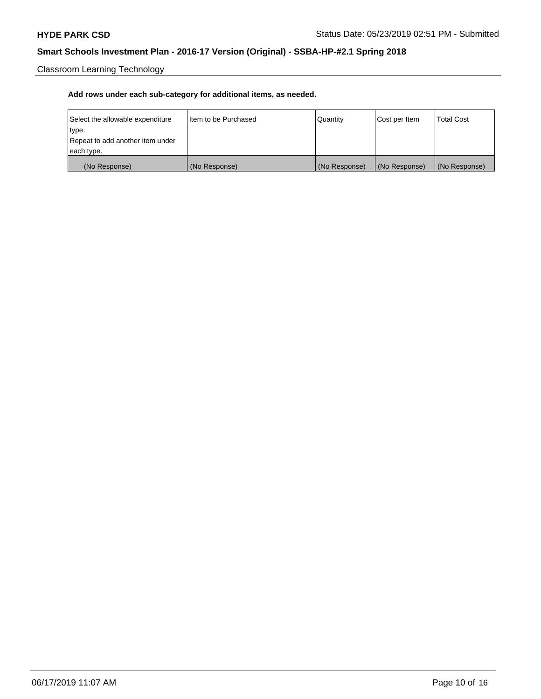Classroom Learning Technology

| Select the allowable expenditure | Iltem to be Purchased | Quantity      | Cost per Item | <b>Total Cost</b> |
|----------------------------------|-----------------------|---------------|---------------|-------------------|
| type.                            |                       |               |               |                   |
| Repeat to add another item under |                       |               |               |                   |
| each type.                       |                       |               |               |                   |
| (No Response)                    | (No Response)         | (No Response) | (No Response) | (No Response)     |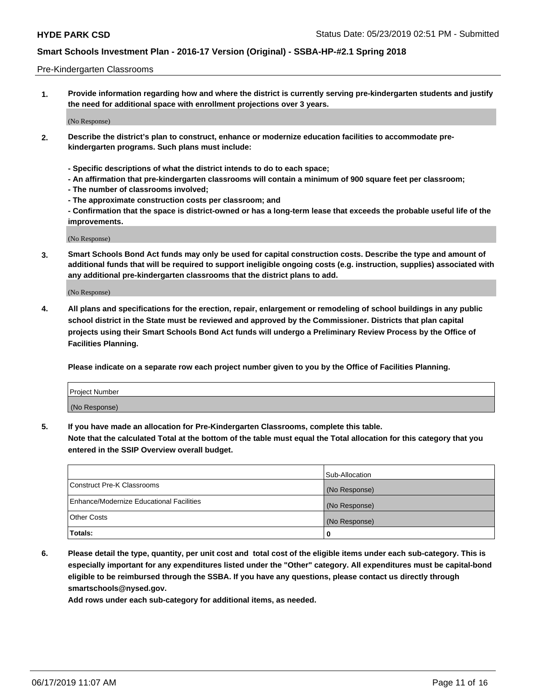#### Pre-Kindergarten Classrooms

**1. Provide information regarding how and where the district is currently serving pre-kindergarten students and justify the need for additional space with enrollment projections over 3 years.**

(No Response)

- **2. Describe the district's plan to construct, enhance or modernize education facilities to accommodate prekindergarten programs. Such plans must include:**
	- **Specific descriptions of what the district intends to do to each space;**
	- **An affirmation that pre-kindergarten classrooms will contain a minimum of 900 square feet per classroom;**
	- **The number of classrooms involved;**
	- **The approximate construction costs per classroom; and**
	- **Confirmation that the space is district-owned or has a long-term lease that exceeds the probable useful life of the improvements.**

(No Response)

**3. Smart Schools Bond Act funds may only be used for capital construction costs. Describe the type and amount of additional funds that will be required to support ineligible ongoing costs (e.g. instruction, supplies) associated with any additional pre-kindergarten classrooms that the district plans to add.**

(No Response)

**4. All plans and specifications for the erection, repair, enlargement or remodeling of school buildings in any public school district in the State must be reviewed and approved by the Commissioner. Districts that plan capital projects using their Smart Schools Bond Act funds will undergo a Preliminary Review Process by the Office of Facilities Planning.**

**Please indicate on a separate row each project number given to you by the Office of Facilities Planning.**

| Project Number |  |
|----------------|--|
| (No Response)  |  |
|                |  |

**5. If you have made an allocation for Pre-Kindergarten Classrooms, complete this table.**

**Note that the calculated Total at the bottom of the table must equal the Total allocation for this category that you entered in the SSIP Overview overall budget.**

|                                          | Sub-Allocation |
|------------------------------------------|----------------|
| Construct Pre-K Classrooms               | (No Response)  |
| Enhance/Modernize Educational Facilities | (No Response)  |
| <b>Other Costs</b>                       | (No Response)  |
| Totals:                                  | 0              |

**6. Please detail the type, quantity, per unit cost and total cost of the eligible items under each sub-category. This is especially important for any expenditures listed under the "Other" category. All expenditures must be capital-bond eligible to be reimbursed through the SSBA. If you have any questions, please contact us directly through smartschools@nysed.gov.**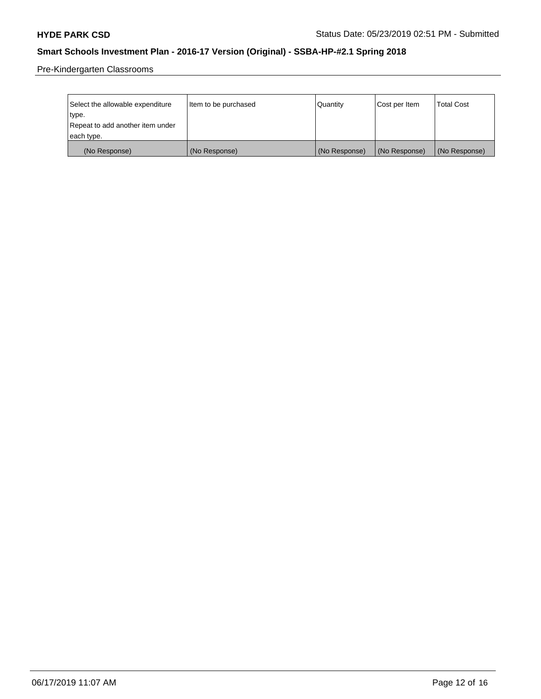Pre-Kindergarten Classrooms

| Select the allowable expenditure | Item to be purchased | Quantity      | Cost per Item | <b>Total Cost</b> |
|----------------------------------|----------------------|---------------|---------------|-------------------|
| type.                            |                      |               |               |                   |
| Repeat to add another item under |                      |               |               |                   |
| each type.                       |                      |               |               |                   |
| (No Response)                    | (No Response)        | (No Response) | (No Response) | (No Response)     |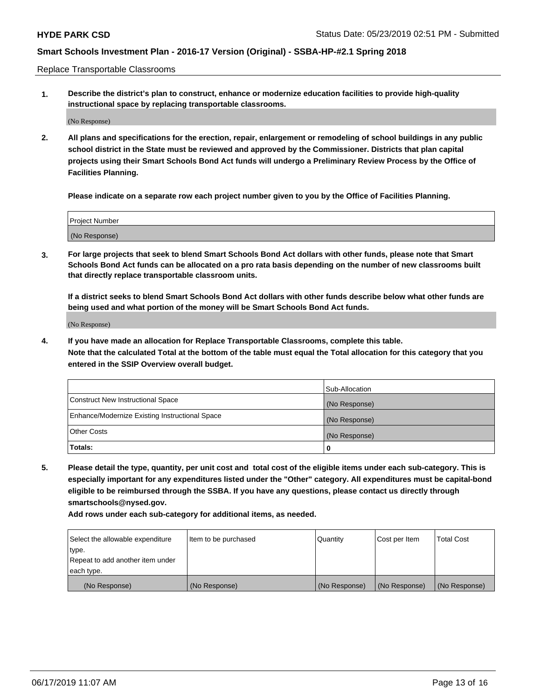Replace Transportable Classrooms

**1. Describe the district's plan to construct, enhance or modernize education facilities to provide high-quality instructional space by replacing transportable classrooms.**

(No Response)

**2. All plans and specifications for the erection, repair, enlargement or remodeling of school buildings in any public school district in the State must be reviewed and approved by the Commissioner. Districts that plan capital projects using their Smart Schools Bond Act funds will undergo a Preliminary Review Process by the Office of Facilities Planning.**

**Please indicate on a separate row each project number given to you by the Office of Facilities Planning.**

| Project Number |               |  |
|----------------|---------------|--|
|                |               |  |
|                |               |  |
|                | (No Response) |  |

**3. For large projects that seek to blend Smart Schools Bond Act dollars with other funds, please note that Smart Schools Bond Act funds can be allocated on a pro rata basis depending on the number of new classrooms built that directly replace transportable classroom units.**

**If a district seeks to blend Smart Schools Bond Act dollars with other funds describe below what other funds are being used and what portion of the money will be Smart Schools Bond Act funds.**

(No Response)

**4. If you have made an allocation for Replace Transportable Classrooms, complete this table. Note that the calculated Total at the bottom of the table must equal the Total allocation for this category that you entered in the SSIP Overview overall budget.**

|                                                | Sub-Allocation |
|------------------------------------------------|----------------|
| Construct New Instructional Space              | (No Response)  |
| Enhance/Modernize Existing Instructional Space | (No Response)  |
| <b>Other Costs</b>                             | (No Response)  |
| Totals:                                        | 0              |

**5. Please detail the type, quantity, per unit cost and total cost of the eligible items under each sub-category. This is especially important for any expenditures listed under the "Other" category. All expenditures must be capital-bond eligible to be reimbursed through the SSBA. If you have any questions, please contact us directly through smartschools@nysed.gov.**

| Select the allowable expenditure | Item to be purchased | l Quantitv    | Cost per Item | <b>Total Cost</b> |
|----------------------------------|----------------------|---------------|---------------|-------------------|
| type.                            |                      |               |               |                   |
| Repeat to add another item under |                      |               |               |                   |
| each type.                       |                      |               |               |                   |
| (No Response)                    | (No Response)        | (No Response) | (No Response) | (No Response)     |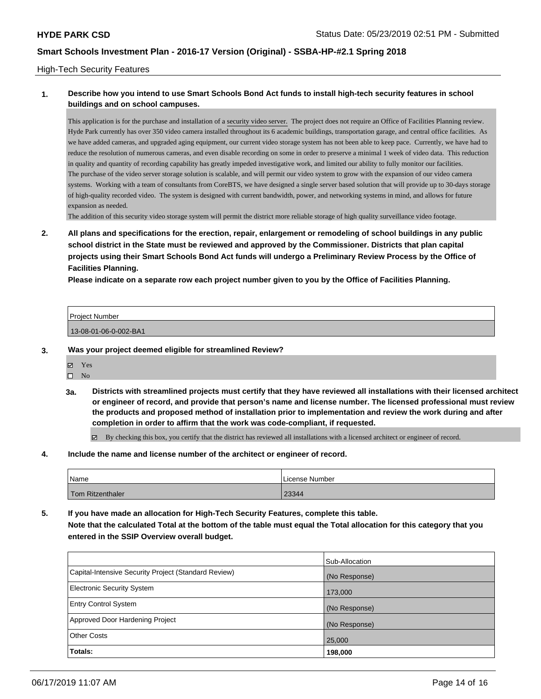### High-Tech Security Features

### **1. Describe how you intend to use Smart Schools Bond Act funds to install high-tech security features in school buildings and on school campuses.**

This application is for the purchase and installation of a security video server. The project does not require an Office of Facilities Planning review. Hyde Park currently has over 350 video camera installed throughout its 6 academic buildings, transportation garage, and central office facilities. As we have added cameras, and upgraded aging equipment, our current video storage system has not been able to keep pace. Currently, we have had to reduce the resolution of numerous cameras, and even disable recording on some in order to preserve a minimal 1 week of video data. This reduction in quality and quantity of recording capability has greatly impeded investigative work, and limited our ability to fully monitor our facilities. The purchase of the video server storage solution is scalable, and will permit our video system to grow with the expansion of our video camera systems. Working with a team of consultants from CoreBTS, we have designed a single server based solution that will provide up to 30-days storage of high-quality recorded video. The system is designed with current bandwidth, power, and networking systems in mind, and allows for future expansion as needed.

The addition of this security video storage system will permit the district more reliable storage of high quality surveillance video footage.

**2. All plans and specifications for the erection, repair, enlargement or remodeling of school buildings in any public school district in the State must be reviewed and approved by the Commissioner. Districts that plan capital projects using their Smart Schools Bond Act funds will undergo a Preliminary Review Process by the Office of Facilities Planning.** 

**Please indicate on a separate row each project number given to you by the Office of Facilities Planning.**

| <b>Project Number</b> |  |
|-----------------------|--|
| 13-08-01-06-0-002-BA1 |  |

- **3. Was your project deemed eligible for streamlined Review?**
	- Yes
	- $\square$  No
	- **3a. Districts with streamlined projects must certify that they have reviewed all installations with their licensed architect or engineer of record, and provide that person's name and license number. The licensed professional must review the products and proposed method of installation prior to implementation and review the work during and after completion in order to affirm that the work was code-compliant, if requested.**

By checking this box, you certify that the district has reviewed all installations with a licensed architect or engineer of record.

**4. Include the name and license number of the architect or engineer of record.**

| Name             | License Number |
|------------------|----------------|
| Tom Ritzenthaler | 23344          |

**5. If you have made an allocation for High-Tech Security Features, complete this table. Note that the calculated Total at the bottom of the table must equal the Total allocation for this category that you entered in the SSIP Overview overall budget.**

|                                                      | Sub-Allocation |
|------------------------------------------------------|----------------|
| Capital-Intensive Security Project (Standard Review) | (No Response)  |
| <b>Electronic Security System</b>                    | 173,000        |
| <b>Entry Control System</b>                          | (No Response)  |
| Approved Door Hardening Project                      | (No Response)  |
| <b>Other Costs</b>                                   | 25,000         |
| Totals:                                              | 198,000        |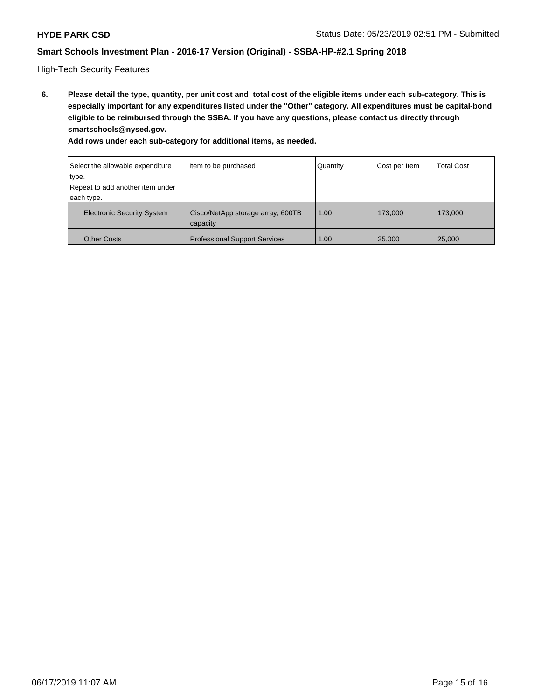High-Tech Security Features

**6. Please detail the type, quantity, per unit cost and total cost of the eligible items under each sub-category. This is especially important for any expenditures listed under the "Other" category. All expenditures must be capital-bond eligible to be reimbursed through the SSBA. If you have any questions, please contact us directly through smartschools@nysed.gov.**

| Select the allowable expenditure  | Item to be purchased                          | Quantity | Cost per Item | <b>Total Cost</b> |
|-----------------------------------|-----------------------------------------------|----------|---------------|-------------------|
| ∣type.                            |                                               |          |               |                   |
| Repeat to add another item under  |                                               |          |               |                   |
| each type.                        |                                               |          |               |                   |
| <b>Electronic Security System</b> | Cisco/NetApp storage array, 600TB<br>capacity | 1.00     | 173,000       | 173,000           |
| <b>Other Costs</b>                | <b>Professional Support Services</b>          | 1.00     | 25,000        | 25,000            |